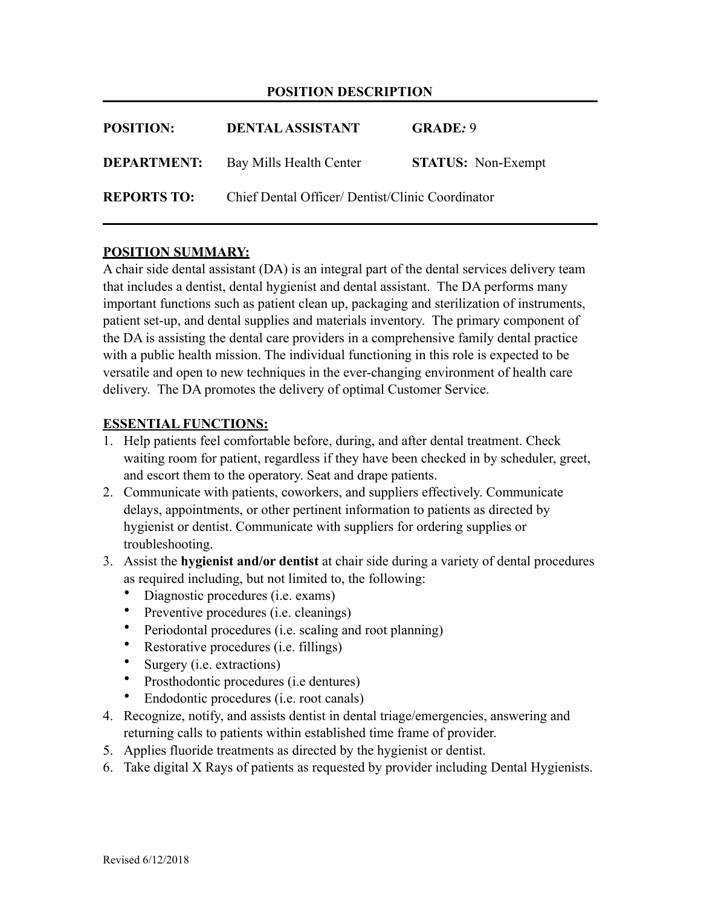## **POSITION DESCRIPTION**

| <b>POSITION:</b>   | <b>DENTAL ASSISTANT</b>                          | <b>GRADE: 9</b>           |
|--------------------|--------------------------------------------------|---------------------------|
| <b>DEPARTMENT:</b> | Bay Mills Health Center                          | <b>STATUS:</b> Non-Exempt |
| <b>REPORTS TO:</b> | Chief Dental Officer/ Dentist/Clinic Coordinator |                           |

## **POSITION SUMMARY:**

A chair side dental assistant (DA) is an integral part of the dental services delivery team that includes a dentist, dental hygienist and dental assistant. The DA performs many important functions such as patient clean up, packaging and sterilization of instruments, patient set-up, and dental supplies and materials inventory. The primary component of the DA is assisting the dental care providers in a comprehensive family dental practice with a public health mission. The individual functioning in this role is expected to be versatile and open to new techniques in the ever-changing environment of health care delivery. The DA promotes the delivery of optimal Customer Service.

#### **ESSENTIAL FUNCTIONS:**

- 1. Help patients feel comfortable before, during, and after dental treatment. Check waiting room for patient, regardless if they have been checked in by scheduler, greet, and escort them to the operatory. Seat and drape patients.
- 2. Communicate with patients, coworkers, and suppliers effectively. Communicate delays, appointments, or other pertinent information to patients as directed by hygienist or dentist. Communicate with suppliers for ordering supplies or troubleshooting.
- 3. Assist the **hygienist and/or dentist** at chair side during a variety of dental procedures as required including, but not limited to, the following:
	- Diagnostic procedures (i.e. exams)
	- Preventive procedures (i.e. cleanings)
	- Periodontal procedures (i.e. scaling and root planning)
	- Restorative procedures (i.e. fillings)
	- Surgery (i.e. extractions)
	- Prosthodontic procedures (i.e dentures)
	- Endodontic procedures (i.e. root canals)
- 4. Recognize, notify, and assists dentist in dental triage/emergencies, answering and returning calls to patients within established time frame of provider.
- 5. Applies fluoride treatments as directed by the hygienist or dentist.
- 6. Take digital X Rays of patients as requested by provider including Dental Hygienists.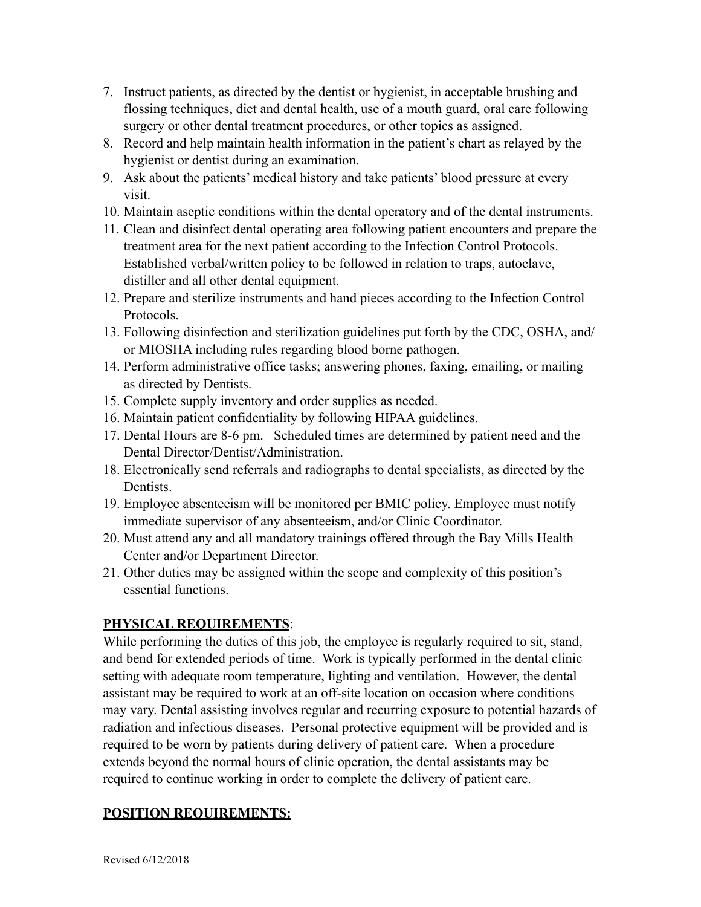- 7. Instruct patients, as directed by the dentist or hygienist, in acceptable brushing and flossing techniques, diet and dental health, use of a mouth guard, oral care following surgery or other dental treatment procedures, or other topics as assigned.
- 8. Record and help maintain health information in the patient's chart as relayed by the hygienist or dentist during an examination.
- 9. Ask about the patients' medical history and take patients' blood pressure at every visit.
- 10. Maintain aseptic conditions within the dental operatory and of the dental instruments.
- 11. Clean and disinfect dental operating area following patient encounters and prepare the treatment area for the next patient according to the Infection Control Protocols. Established verbal/written policy to be followed in relation to traps, autoclave, distiller and all other dental equipment.
- 12. Prepare and sterilize instruments and hand pieces according to the Infection Control Protocols.
- 13. Following disinfection and sterilization guidelines put forth by the CDC, OSHA, and/ or MIOSHA including rules regarding blood borne pathogen.
- 14. Perform administrative office tasks; answering phones, faxing, emailing, or mailing as directed by Dentists.
- 15. Complete supply inventory and order supplies as needed.
- 16. Maintain patient confidentiality by following HIPAA guidelines.
- 17. Dental Hours are 8-6 pm. Scheduled times are determined by patient need and the Dental Director/Dentist/Administration.
- 18. Electronically send referrals and radiographs to dental specialists, as directed by the Dentists.
- 19. Employee absenteeism will be monitored per BMIC policy. Employee must notify immediate supervisor of any absenteeism, and/or Clinic Coordinator.
- 20. Must attend any and all mandatory trainings offered through the Bay Mills Health Center and/or Department Director.
- 21. Other duties may be assigned within the scope and complexity of this position's essential functions.

# **PHYSICAL REQUIREMENTS**:

While performing the duties of this job, the employee is regularly required to sit, stand, and bend for extended periods of time. Work is typically performed in the dental clinic setting with adequate room temperature, lighting and ventilation. However, the dental assistant may be required to work at an off-site location on occasion where conditions may vary. Dental assisting involves regular and recurring exposure to potential hazards of radiation and infectious diseases. Personal protective equipment will be provided and is required to be worn by patients during delivery of patient care. When a procedure extends beyond the normal hours of clinic operation, the dental assistants may be required to continue working in order to complete the delivery of patient care.

## **POSITION REQUIREMENTS:**